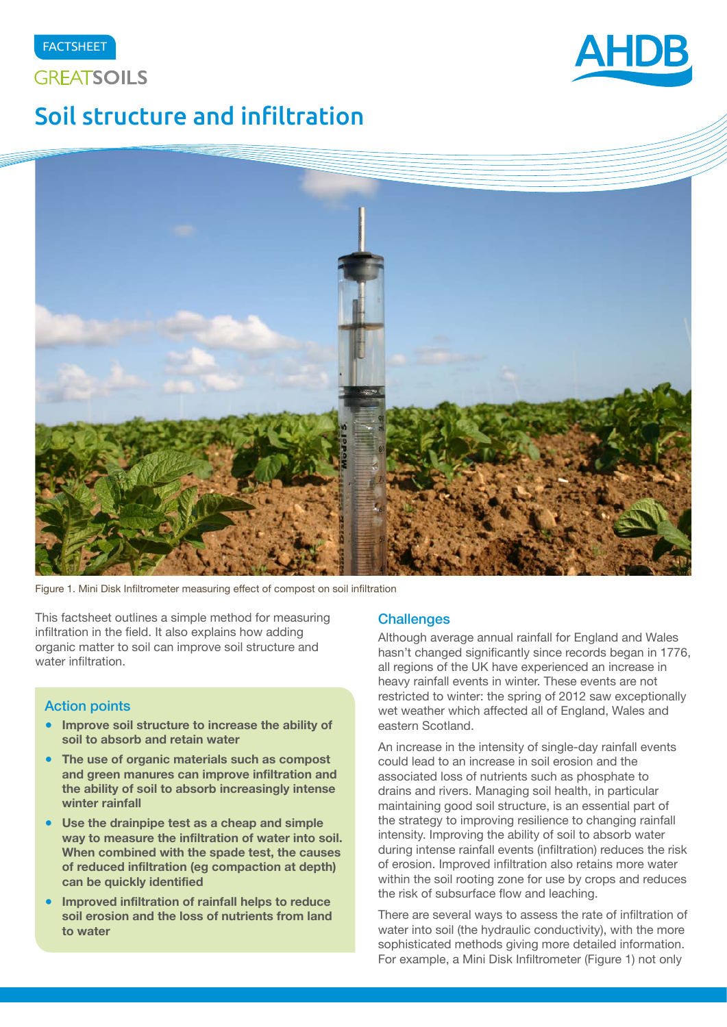

# **GREATSOILS**

# Soil structure and infiltration





Figure 1. Mini Disk Infiltrometer measuring effect of compost on soil infiltration

This factsheet outlines a simple method for measuring infiltration in the field. It also explains how adding organic matter to soil can improve soil structure and water infiltration.

## Action points

- **Improve soil structure to increase the ability of soil to absorb and retain water**
- **The use of organic materials such as compost and green manures can improve infiltration and the ability of soil to absorb increasingly intense winter rainfall**
- **Use the drainpipe test as a cheap and simple way to measure the infiltration of water into soil. When combined with the spade test, the causes of reduced infiltration (eg compaction at depth) can be quickly identified**
- **Improved infiltration of rainfall helps to reduce soil erosion and the loss of nutrients from land to water**

## **Challenges**

Although average annual rainfall for England and Wales hasn't changed significantly since records began in 1776, all regions of the UK have experienced an increase in heavy rainfall events in winter. These events are not restricted to winter: the spring of 2012 saw exceptionally wet weather which affected all of England, Wales and eastern Scotland.

An increase in the intensity of single-day rainfall events could lead to an increase in soil erosion and the associated loss of nutrients such as phosphate to drains and rivers. Managing soil health, in particular maintaining good soil structure, is an essential part of the strategy to improving resilience to changing rainfall intensity. Improving the ability of soil to absorb water during intense rainfall events (infiltration) reduces the risk of erosion. Improved infiltration also retains more water within the soil rooting zone for use by crops and reduces the risk of subsurface flow and leaching.

There are several ways to assess the rate of infiltration of water into soil (the hydraulic conductivity), with the more sophisticated methods giving more detailed information. For example, a Mini Disk Infiltrometer (Figure 1) not only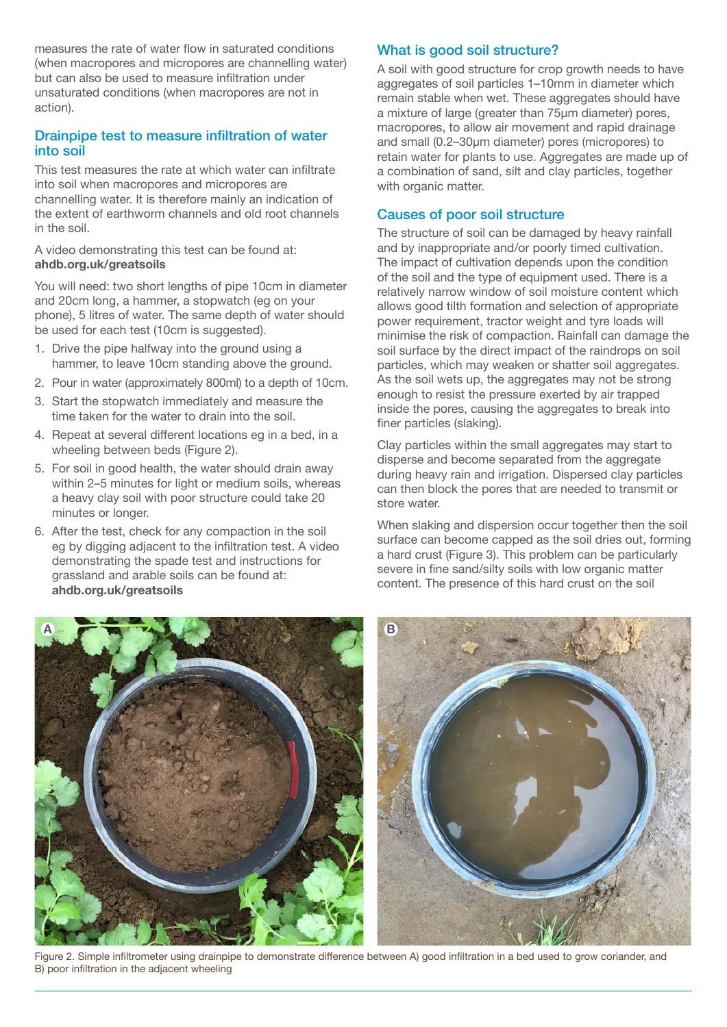measures the rate of water flow in saturated conditions (when macropores and micropores are channelling water) but can also be used to measure infiltration under unsaturated conditions (when macropores are not in action).

# Drainpipe test to measure infiltration of water into soil

This test measures the rate at which water can infiltrate into soil when macropores and micropores are channelling water. It is therefore mainly an indication of the extent of earthworm channels and old root channels in the soil.

#### A video demonstrating this test can be found at: **[ahdb.org.uk/greatsoils](http://ahdb.org.uk/greatsoils)**

You will need: two short lengths of pipe 10cm in diameter and 20cm long, a hammer, a stopwatch (eg on your phone), 5 litres of water. The same depth of water should be used for each test (10cm is suggested).

- 1. Drive the pipe halfway into the ground using a hammer, to leave 10cm standing above the ground.
- 2. Pour in water (approximately 800ml) to a depth of 10cm.
- 3. Start the stopwatch immediately and measure the time taken for the water to drain into the soil.
- 4. Repeat at several different locations eg in a bed, in a wheeling between beds (Figure 2).
- 5. For soil in good health, the water should drain away within 2–5 minutes for light or medium soils, whereas a heavy clay soil with poor structure could take 20 minutes or longer.
- 6. After the test, check for any compaction in the soil eg by digging adjacent to the infiltration test. A video demonstrating the spade test and instructions for grassland and arable soils can be found at: **[ahdb.org.uk/greatsoils](http://ahdb.org.uk/greatsoils)**

# What is good soil structure?

A soil with good structure for crop growth needs to have aggregates of soil particles 1–10mm in diameter which remain stable when wet. These aggregates should have a mixture of large (greater than 75µm diameter) pores, macropores, to allow air movement and rapid drainage and small (0.2–30µm diameter) pores (micropores) to retain water for plants to use. Aggregates are made up of a combination of sand, silt and clay particles, together with organic matter.

# Causes of poor soil structure

The structure of soil can be damaged by heavy rainfall and by inappropriate and/or poorly timed cultivation. The impact of cultivation depends upon the condition of the soil and the type of equipment used. There is a relatively narrow window of soil moisture content which allows good tilth formation and selection of appropriate power requirement, tractor weight and tyre loads will minimise the risk of compaction. Rainfall can damage the soil surface by the direct impact of the raindrops on soil particles, which may weaken or shatter soil aggregates. As the soil wets up, the aggregates may not be strong enough to resist the pressure exerted by air trapped inside the pores, causing the aggregates to break into finer particles (slaking).

Clay particles within the small aggregates may start to disperse and become separated from the aggregate during heavy rain and irrigation. Dispersed clay particles can then block the pores that are needed to transmit or store water.

When slaking and dispersion occur together then the soil surface can become capped as the soil dries out, forming a hard crust (Figure 3). This problem can be particularly severe in fine sand/silty soils with low organic matter content. The presence of this hard crust on the soil



Figure 2. Simple infiltrometer using drainpipe to demonstrate difference between A) good infiltration in a bed used to grow coriander, and B) poor infiltration in the adjacent wheeling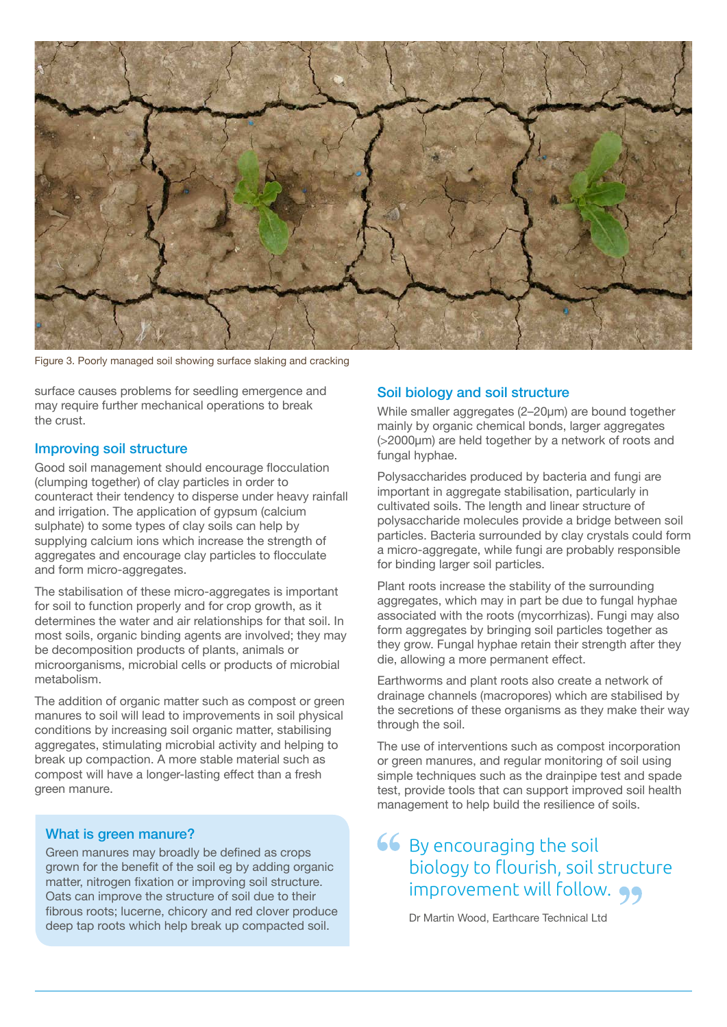

Figure 3. Poorly managed soil showing surface slaking and cracking

surface causes problems for seedling emergence and may require further mechanical operations to break the crust.

#### Improving soil structure

Good soil management should encourage flocculation (clumping together) of clay particles in order to counteract their tendency to disperse under heavy rainfall and irrigation. The application of gypsum (calcium sulphate) to some types of clay soils can help by supplying calcium ions which increase the strength of aggregates and encourage clay particles to flocculate and form micro-aggregates.

The stabilisation of these micro-aggregates is important for soil to function properly and for crop growth, as it determines the water and air relationships for that soil. In most soils, organic binding agents are involved; they may be decomposition products of plants, animals or microorganisms, microbial cells or products of microbial metabolism.

The addition of organic matter such as compost or green manures to soil will lead to improvements in soil physical conditions by increasing soil organic matter, stabilising aggregates, stimulating microbial activity and helping to break up compaction. A more stable material such as compost will have a longer-lasting effect than a fresh green manure.

# What is green manure?

Green manures may broadly be defined as crops grown for the benefit of the soil eg by adding organic matter, nitrogen fixation or improving soil structure. Oats can improve the structure of soil due to their fibrous roots; lucerne, chicory and red clover produce deep tap roots which help break up compacted soil.

## Soil biology and soil structure

While smaller aggregates (2–20µm) are bound together mainly by organic chemical bonds, larger aggregates (>2000µm) are held together by a network of roots and fungal hyphae.

Polysaccharides produced by bacteria and fungi are important in aggregate stabilisation, particularly in cultivated soils. The length and linear structure of polysaccharide molecules provide a bridge between soil particles. Bacteria surrounded by clay crystals could form a micro-aggregate, while fungi are probably responsible for binding larger soil particles.

Plant roots increase the stability of the surrounding aggregates, which may in part be due to fungal hyphae associated with the roots (mycorrhizas). Fungi may also form aggregates by bringing soil particles together as they grow. Fungal hyphae retain their strength after they die, allowing a more permanent effect.

Earthworms and plant roots also create a network of drainage channels (macropores) which are stabilised by the secretions of these organisms as they make their way through the soil.

The use of interventions such as compost incorporation or green manures, and regular monitoring of soil using simple techniques such as the drainpipe test and spade test, provide tools that can support improved soil health management to help build the resilience of soils.

# **66** By encouraging the soil biology to flourish, soil structure improvement will follow.

Dr Martin Wood, Earthcare Technical Ltd